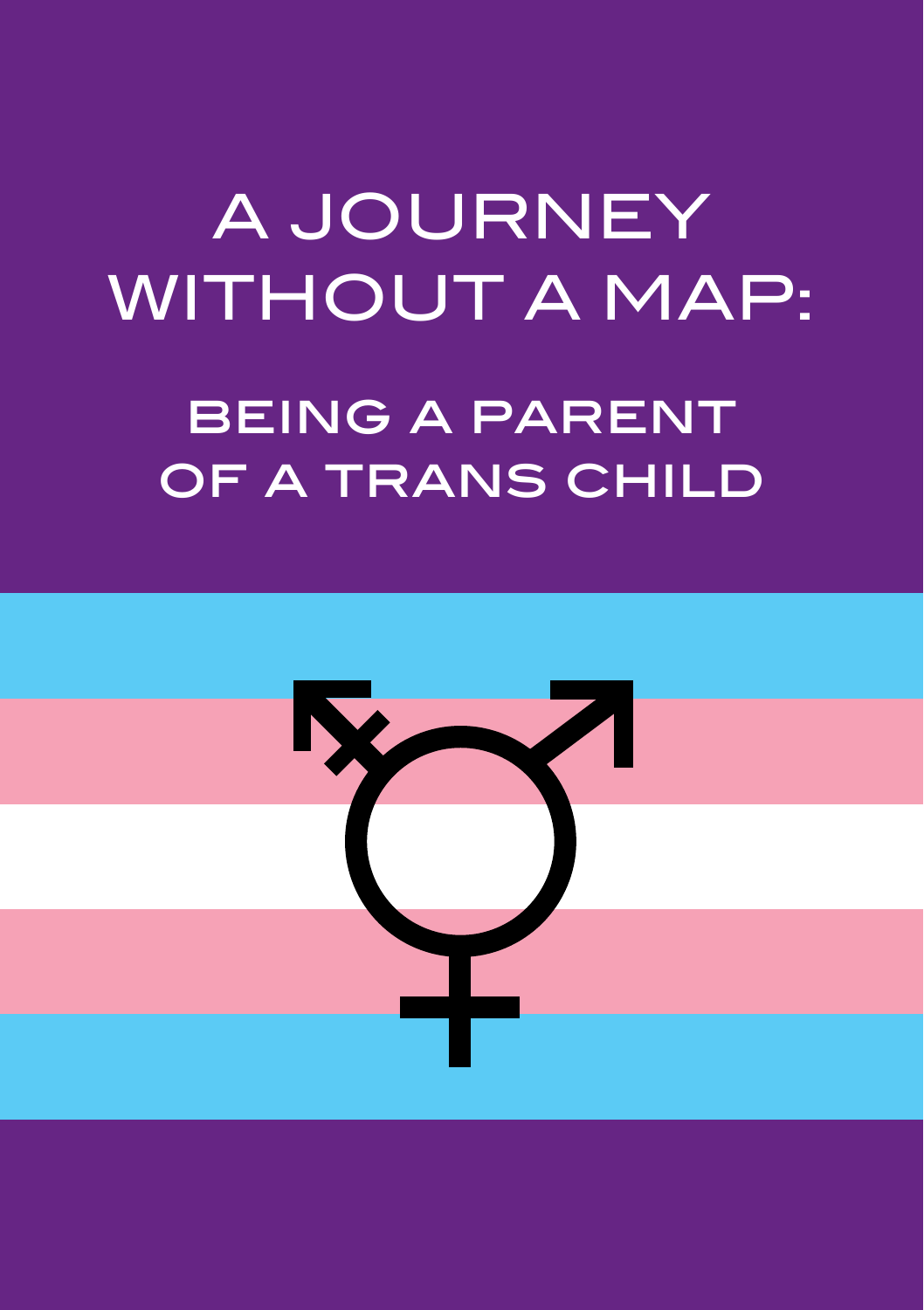# A JOURNEY WITHOUT A MAP: being a parent of a trans child

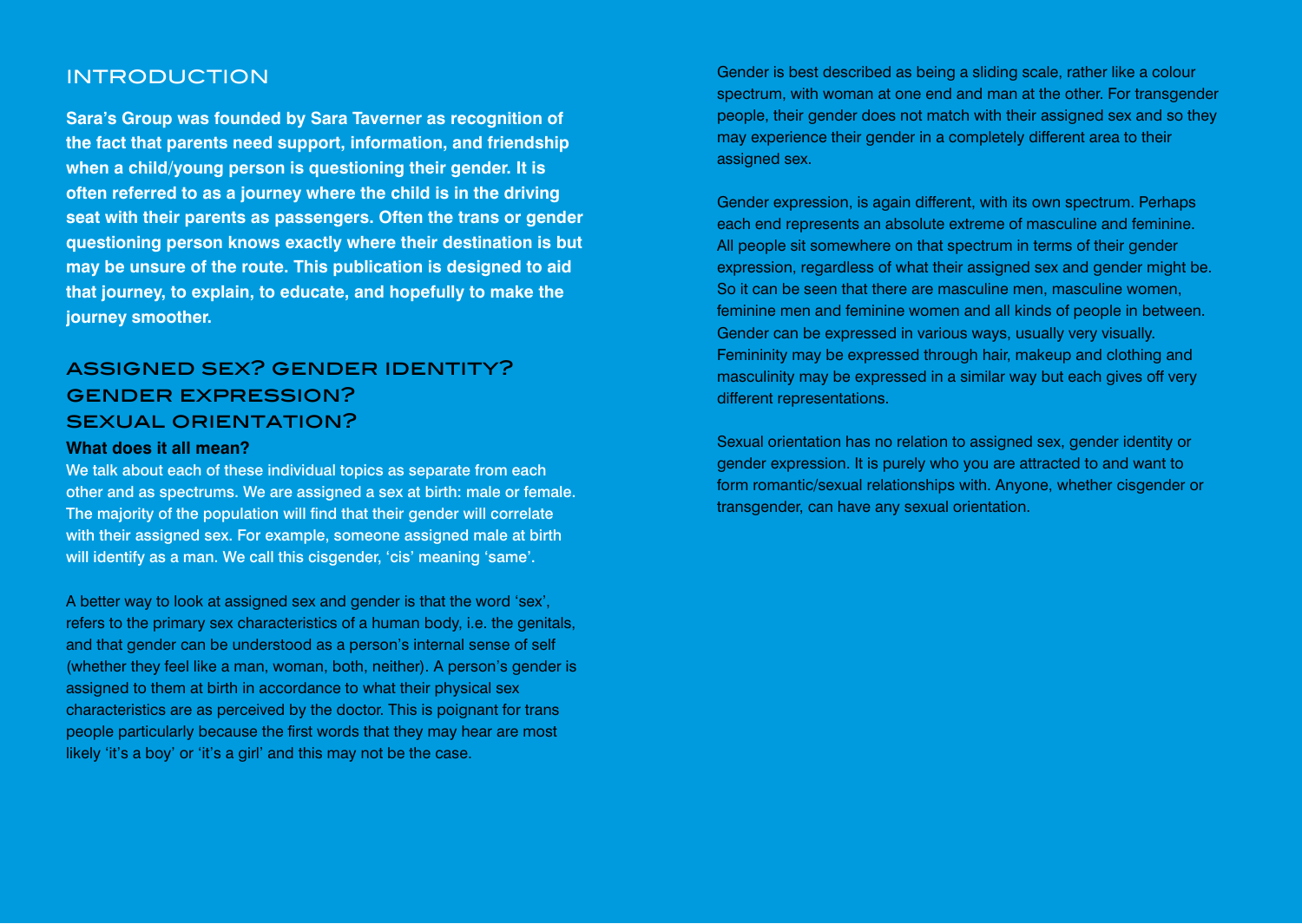## INTRODUCTION

**Sara's Group was founded by Sara Taverner as recognition of the fact that parents need support, information, and friendship when a child/young person is questioning their gender. It is often referred to as a journey where the child is in the driving seat with their parents as passengers. Often the trans or gender questioning person knows exactly where their destination is but may be unsure of the route. This publication is designed to aid that journey, to explain, to educate, and hopefully to make the journey smoother.**

# assigned sex? gender identity? gender expression? sexual orientation?

#### **What does it all mean?**

We talk about each of these individual topics as separate from each other and as spectrums. We are assigned a sex at birth: male or female. The majority of the population will find that their gender will correlate with their assigned sex. For example, someone assigned male at birth will identify as a man. We call this cisgender, 'cis' meaning 'same'.

A better way to look at assigned sex and gender is that the word 'sex', refers to the primary sex characteristics of a human body, i.e. the genitals, and that gender can be understood as a person's internal sense of self (whether they feel like a man, woman, both, neither). A person's gender is assigned to them at birth in accordance to what their physical sex characteristics are as perceived by the doctor. This is poignant for trans people particularly because the first words that they may hear are most likely 'it's a boy' or 'it's a girl' and this may not be the case.

Gender is best described as being a sliding scale, rather like a colour spectrum, with woman at one end and man at the other. For transgender people, their gender does not match with their assigned sex and so they may experience their gender in a completely different area to their assigned sex.

Gender expression, is again different, with its own spectrum. Perhaps each end represents an absolute extreme of masculine and feminine. All people sit somewhere on that spectrum in terms of their gender expression, regardless of what their assigned sex and gender might be. So it can be seen that there are masculine men, masculine women, feminine men and feminine women and all kinds of people in between. Gender can be expressed in various ways, usually very visually. Femininity may be expressed through hair, makeup and clothing and masculinity may be expressed in a similar way but each gives off very different representations.

Sexual orientation has no relation to assigned sex, gender identity or gender expression. It is purely who you are attracted to and want to form romantic/sexual relationships with. Anyone, whether cisgender or transgender, can have any sexual orientation.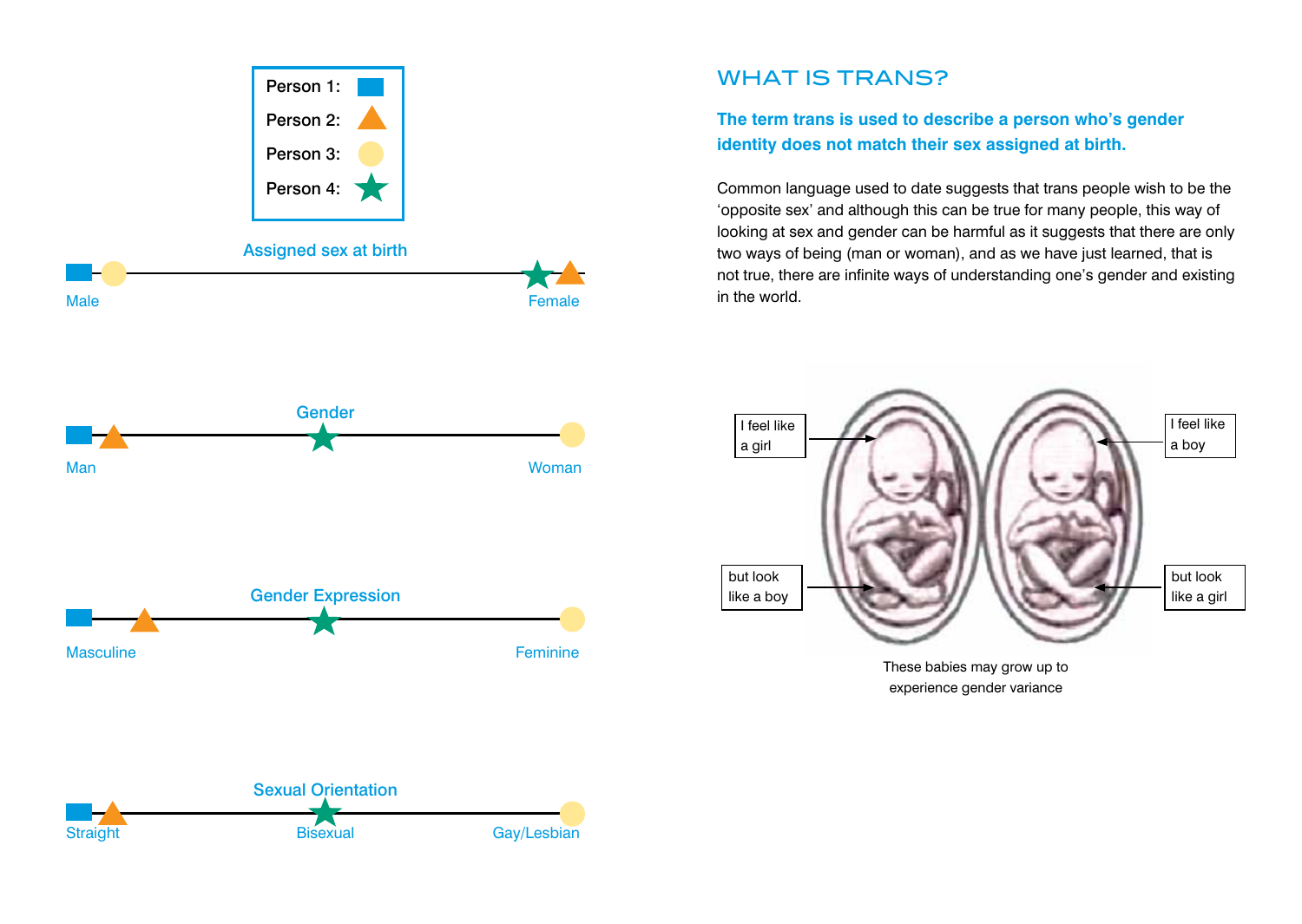

Straight Bisexual Bisexual Gay/Lesbian

# WHAT IS TRANS?

**The term trans is used to describe a person who's gender identity does not match their sex assigned at birth.** 

Common language used to date suggests that trans people wish to be the 'opposite sex' and although this can be true for many people, this way of looking at sex and gender can be harmful as it suggests that there are only two ways of being (man or woman), and as we have just learned, that is not true, there are infinite ways of understanding one's gender and existing in the world.



experience gender variance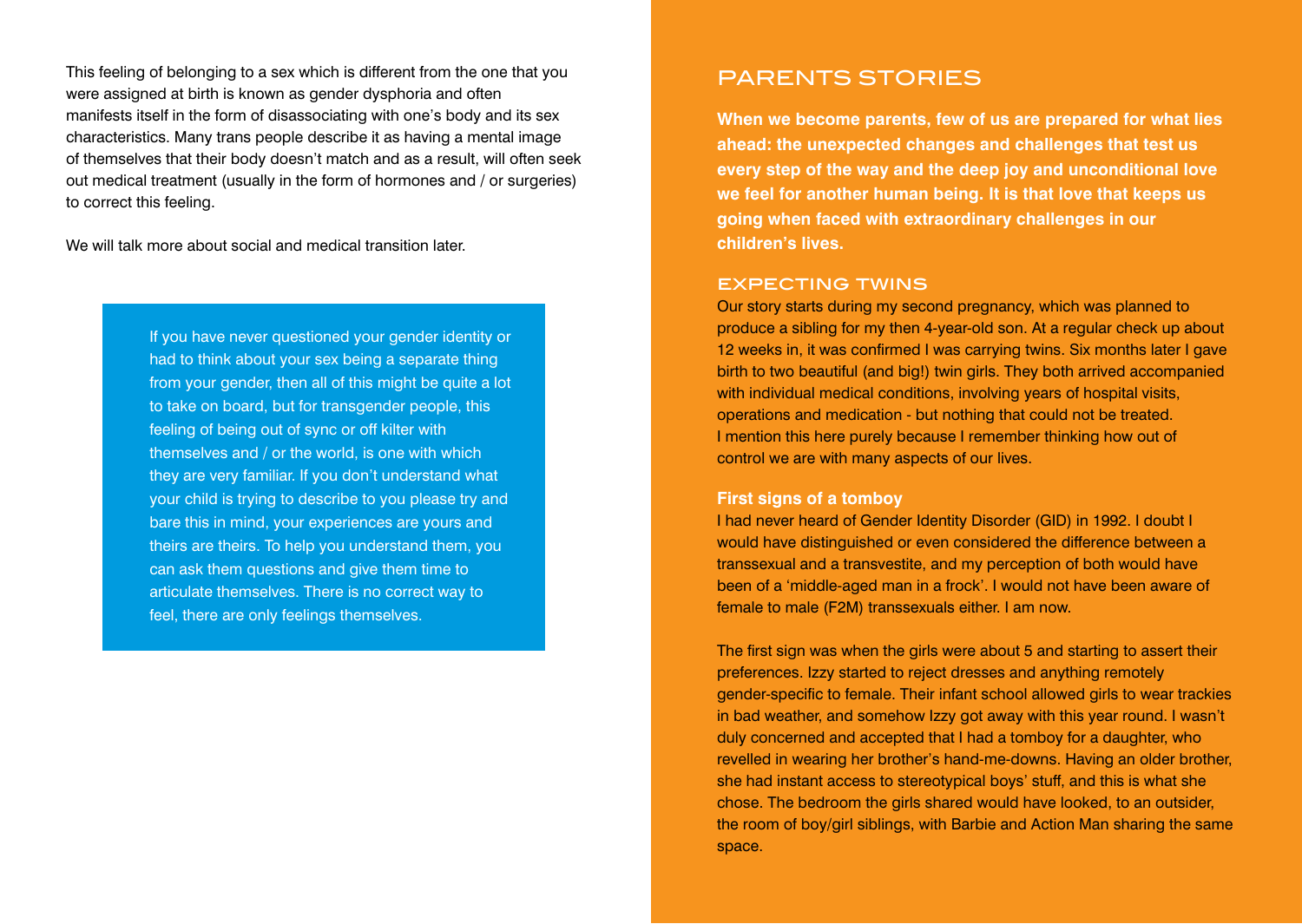This feeling of belonging to a sex which is different from the one that you were assigned at birth is known as gender dysphoria and often manifests itself in the form of disassociating with one's body and its sex characteristics. Many trans people describe it as having a mental image of themselves that their body doesn't match and as a result, will often seek out medical treatment (usually in the form of hormones and / or surgeries) to correct this feeling.

We will talk more about social and medical transition later.

If you have never questioned your gender identity or had to think about your sex being a separate thing from your gender, then all of this might be quite a lot to take on board, but for transgender people, this feeling of being out of sync or off kilter with themselves and / or the world, is one with which they are very familiar. If you don't understand what your child is trying to describe to you please try and bare this in mind, your experiences are yours and theirs are theirs. To help you understand them, you can ask them questions and give them time to articulate themselves. There is no correct way to feel, there are only feelings themselves.

## PARENTS STORIES

**When we become parents, few of us are prepared for what lies ahead: the unexpected changes and challenges that test us every step of the way and the deep joy and unconditional love we feel for another human being. It is that love that keeps us going when faced with extraordinary challenges in our children's lives.**

#### expecting twins

Our story starts during my second pregnancy, which was planned to produce a sibling for my then 4-year-old son. At a regular check up about 12 weeks in, it was confirmed I was carrying twins. Six months later I gave birth to two beautiful (and big!) twin girls. They both arrived accompanied with individual medical conditions, involving years of hospital visits, operations and medication - but nothing that could not be treated. I mention this here purely because I remember thinking how out of control we are with many aspects of our lives.

#### **First signs of a tomboy**

I had never heard of Gender Identity Disorder (GID) in 1992. I doubt I would have distinguished or even considered the difference between a transsexual and a transvestite, and my perception of both would have been of a 'middle-aged man in a frock'. I would not have been aware of female to male (F2M) transsexuals either. I am now.

The first sign was when the girls were about 5 and starting to assert their preferences. Izzy started to reject dresses and anything remotely gender-specific to female. Their infant school allowed girls to wear trackies in bad weather, and somehow Izzy got away with this year round. I wasn't duly concerned and accepted that I had a tomboy for a daughter, who revelled in wearing her brother's hand-me-downs. Having an older brother, she had instant access to stereotypical boys' stuff, and this is what she chose. The bedroom the girls shared would have looked, to an outsider, the room of boy/girl siblings, with Barbie and Action Man sharing the same space.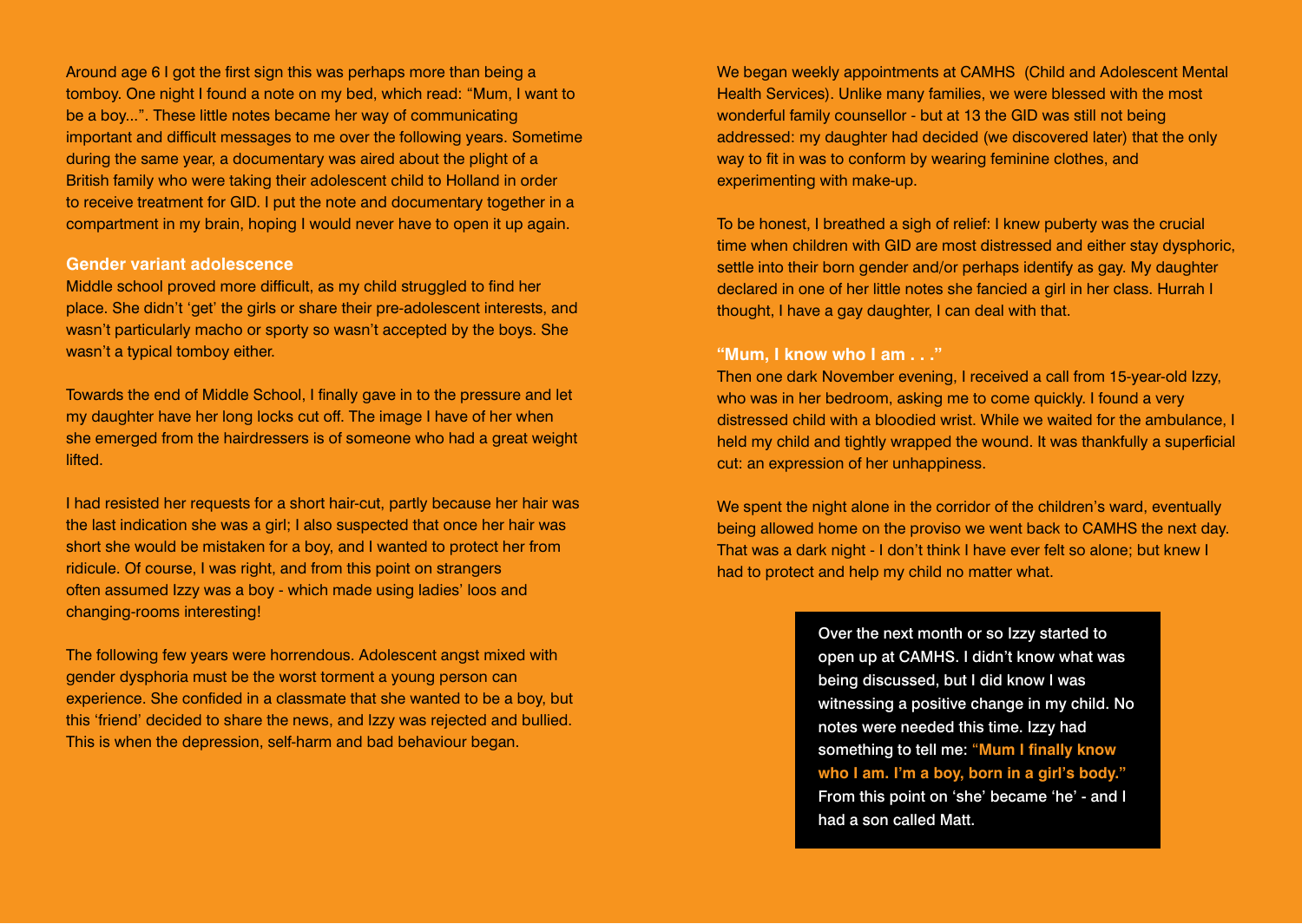Around age 6 I got the first sign this was perhaps more than being a tomboy. One night I found a note on my bed, which read: "Mum, I want to be a boy...". These little notes became her way of communicating important and difficult messages to me over the following years. Sometime during the same year, a documentary was aired about the plight of a British family who were taking their adolescent child to Holland in order to receive treatment for GID. I put the note and documentary together in a compartment in my brain, hoping I would never have to open it up again.

#### **Gender variant adolescence**

Middle school proved more difficult, as my child struggled to find her place. She didn't 'get' the girls or share their pre-adolescent interests, and wasn't particularly macho or sporty so wasn't accepted by the boys. She wasn't a typical tomboy either.

Towards the end of Middle School, I finally gave in to the pressure and let my daughter have her long locks cut off. The image I have of her when she emerged from the hairdressers is of someone who had a great weight lifted.

I had resisted her requests for a short hair-cut, partly because her hair was the last indication she was a girl; I also suspected that once her hair was short she would be mistaken for a boy, and I wanted to protect her from ridicule. Of course, I was right, and from this point on strangers often assumed Izzy was a boy - which made using ladies' loos and changing-rooms interesting!

The following few years were horrendous. Adolescent angst mixed with gender dysphoria must be the worst torment a young person can experience. She confided in a classmate that she wanted to be a boy, but this 'friend' decided to share the news, and Izzy was rejected and bullied. This is when the depression, self-harm and bad behaviour began.

We began weekly appointments at CAMHS (Child and Adolescent Mental Health Services). Unlike many families, we were blessed with the most wonderful family counsellor - but at 13 the GID was still not being addressed: my daughter had decided (we discovered later) that the only way to fit in was to conform by wearing feminine clothes, and experimenting with make-up.

To be honest, I breathed a sigh of relief: I knew puberty was the crucial time when children with GID are most distressed and either stay dysphoric, settle into their born gender and/or perhaps identify as gay. My daughter declared in one of her little notes she fancied a girl in her class. Hurrah I thought, I have a gay daughter, I can deal with that.

#### **"Mum, I know who I am . . ."**

Then one dark November evening, I received a call from 15-year-old Izzy, who was in her bedroom, asking me to come quickly. I found a very distressed child with a bloodied wrist. While we waited for the ambulance, I held my child and tightly wrapped the wound. It was thankfully a superficial cut: an expression of her unhappiness.

We spent the night alone in the corridor of the children's ward, eventually being allowed home on the proviso we went back to CAMHS the next day. That was a dark night - I don't think I have ever felt so alone; but knew I had to protect and help my child no matter what.

> Over the next month or so Izzy started to open up at CAMHS. I didn't know what was being discussed, but I did know I was witnessing a positive change in my child. No notes were needed this time. Izzy had something to tell me: "**Mum I finally know who I am. I'm a boy, born in a girl's body."** From this point on 'she' became 'he' - and I had a son called Matt.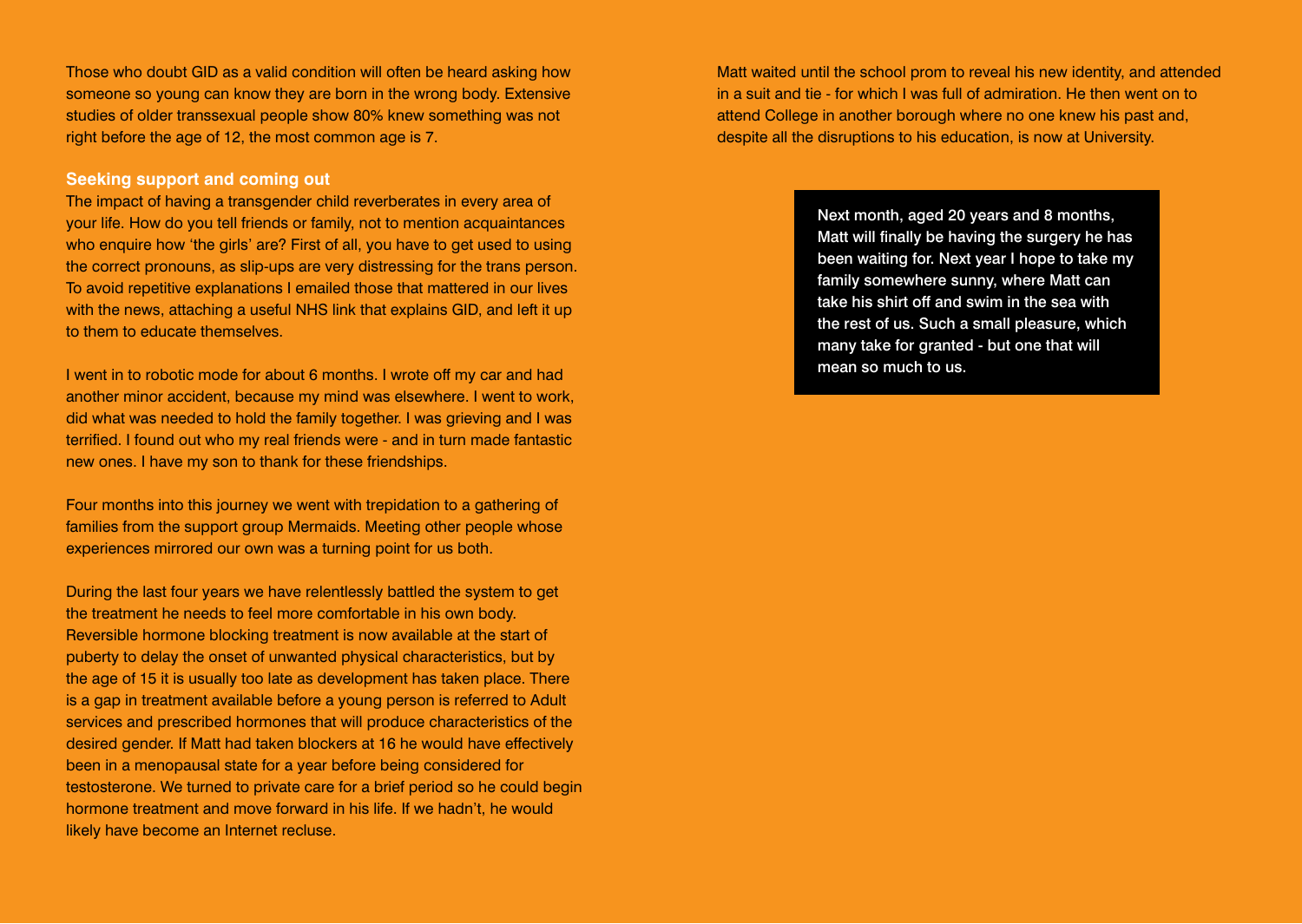Those who doubt GID as a valid condition will often be heard asking how someone so young can know they are born in the wrong body. Extensive studies of older transsexual people show 80% knew something was not right before the age of 12, the most common age is 7.

#### **Seeking support and coming out**

The impact of having a transgender child reverberates in every area of your life. How do you tell friends or family, not to mention acquaintances who enquire how 'the girls' are? First of all, you have to get used to using the correct pronouns, as slip-ups are very distressing for the trans person. To avoid repetitive explanations I emailed those that mattered in our lives with the news, attaching a useful NHS link that explains GID, and left it up to them to educate themselves.

I went in to robotic mode for about 6 months. I wrote off my car and had another minor accident, because my mind was elsewhere. I went to work, did what was needed to hold the family together. I was grieving and I was terrified. I found out who my real friends were - and in turn made fantastic new ones. I have my son to thank for these friendships.

Four months into this journey we went with trepidation to a gathering of families from the support group Mermaids. Meeting other people whose experiences mirrored our own was a turning point for us both.

During the last four years we have relentlessly battled the system to get the treatment he needs to feel more comfortable in his own body. Reversible hormone blocking treatment is now available at the start of puberty to delay the onset of unwanted physical characteristics, but by the age of 15 it is usually too late as development has taken place. There is a gap in treatment available before a young person is referred to Adult services and prescribed hormones that will produce characteristics of the desired gender. If Matt had taken blockers at 16 he would have effectively been in a menopausal state for a year before being considered for testosterone. We turned to private care for a brief period so he could begin hormone treatment and move forward in his life. If we hadn't, he would likely have become an Internet recluse.

Matt waited until the school prom to reveal his new identity, and attended in a suit and tie - for which I was full of admiration. He then went on to attend College in another borough where no one knew his past and, despite all the disruptions to his education, is now at University.

> Next month, aged 20 years and 8 months, Matt will finally be having the surgery he has been waiting for. Next year I hope to take my family somewhere sunny, where Matt can take his shirt off and swim in the sea with the rest of us. Such a small pleasure, which many take for granted - but one that will mean so much to us.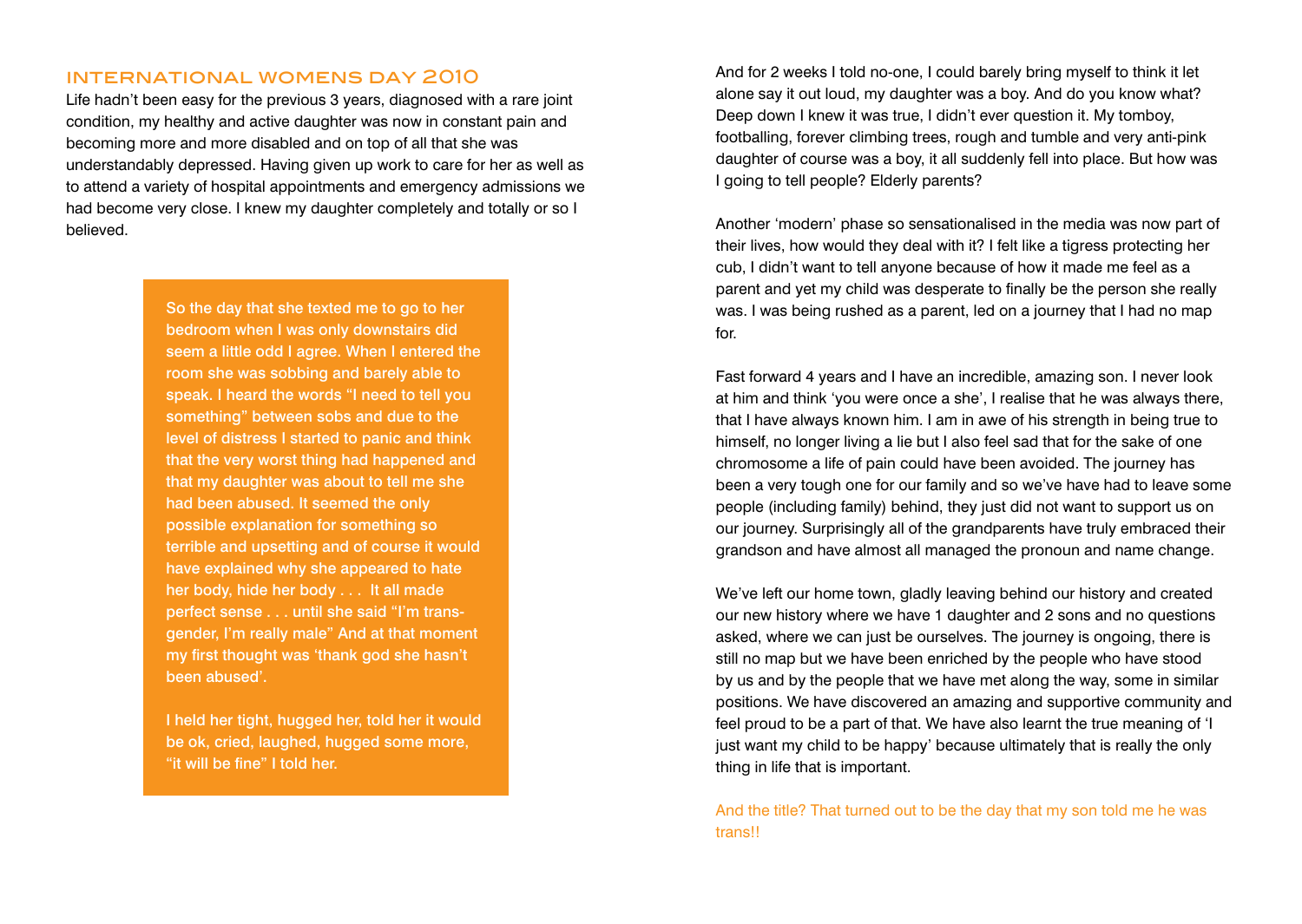## international womens day 2010

Life hadn't been easy for the previous 3 years, diagnosed with a rare joint condition, my healthy and active daughter was now in constant pain and becoming more and more disabled and on top of all that she was understandably depressed. Having given up work to care for her as well as to attend a variety of hospital appointments and emergency admissions we had become very close. I knew my daughter completely and totally or so I believed.

> So the day that she texted me to go to her bedroom when I was only downstairs did seem a little odd I agree. When I entered the room she was sobbing and barely able to speak. I heard the words "I need to tell you something" between sobs and due to the level of distress I started to panic and think that the very worst thing had happened and that my daughter was about to tell me she had been abused. It seemed the only possible explanation for something so terrible and upsetting and of course it would have explained why she appeared to hate her body, hide her body . . . It all made perfect sense . . . until she said "I'm transgender, I'm really male" And at that moment my first thought was 'thank god she hasn't been abused'.

> I held her tight, hugged her, told her it would be ok, cried, laughed, hugged some more, "it will be fine" I told her.

And for 2 weeks I told no-one, I could barely bring myself to think it let alone say it out loud, my daughter was a boy. And do you know what? Deep down I knew it was true, I didn't ever question it. My tomboy, footballing, forever climbing trees, rough and tumble and very anti-pink daughter of course was a boy, it all suddenly fell into place. But how was I going to tell people? Elderly parents?

Another 'modern' phase so sensationalised in the media was now part of their lives, how would they deal with it? I felt like a tigress protecting her cub, I didn't want to tell anyone because of how it made me feel as a parent and yet my child was desperate to finally be the person she really was. I was being rushed as a parent, led on a journey that I had no map for.

Fast forward 4 years and I have an incredible, amazing son. I never look at him and think 'you were once a she', I realise that he was always there, that I have always known him. I am in awe of his strength in being true to himself, no longer living a lie but I also feel sad that for the sake of one chromosome a life of pain could have been avoided. The journey has been a very tough one for our family and so we've have had to leave some people (including family) behind, they just did not want to support us on our journey. Surprisingly all of the grandparents have truly embraced their grandson and have almost all managed the pronoun and name change.

We've left our home town, gladly leaving behind our history and created our new history where we have 1 daughter and 2 sons and no questions asked, where we can just be ourselves. The journey is ongoing, there is still no map but we have been enriched by the people who have stood by us and by the people that we have met along the way, some in similar positions. We have discovered an amazing and supportive community and feel proud to be a part of that. We have also learnt the true meaning of 'I just want my child to be happy' because ultimately that is really the only thing in life that is important.

And the title? That turned out to be the day that my son told me he was **trans!!**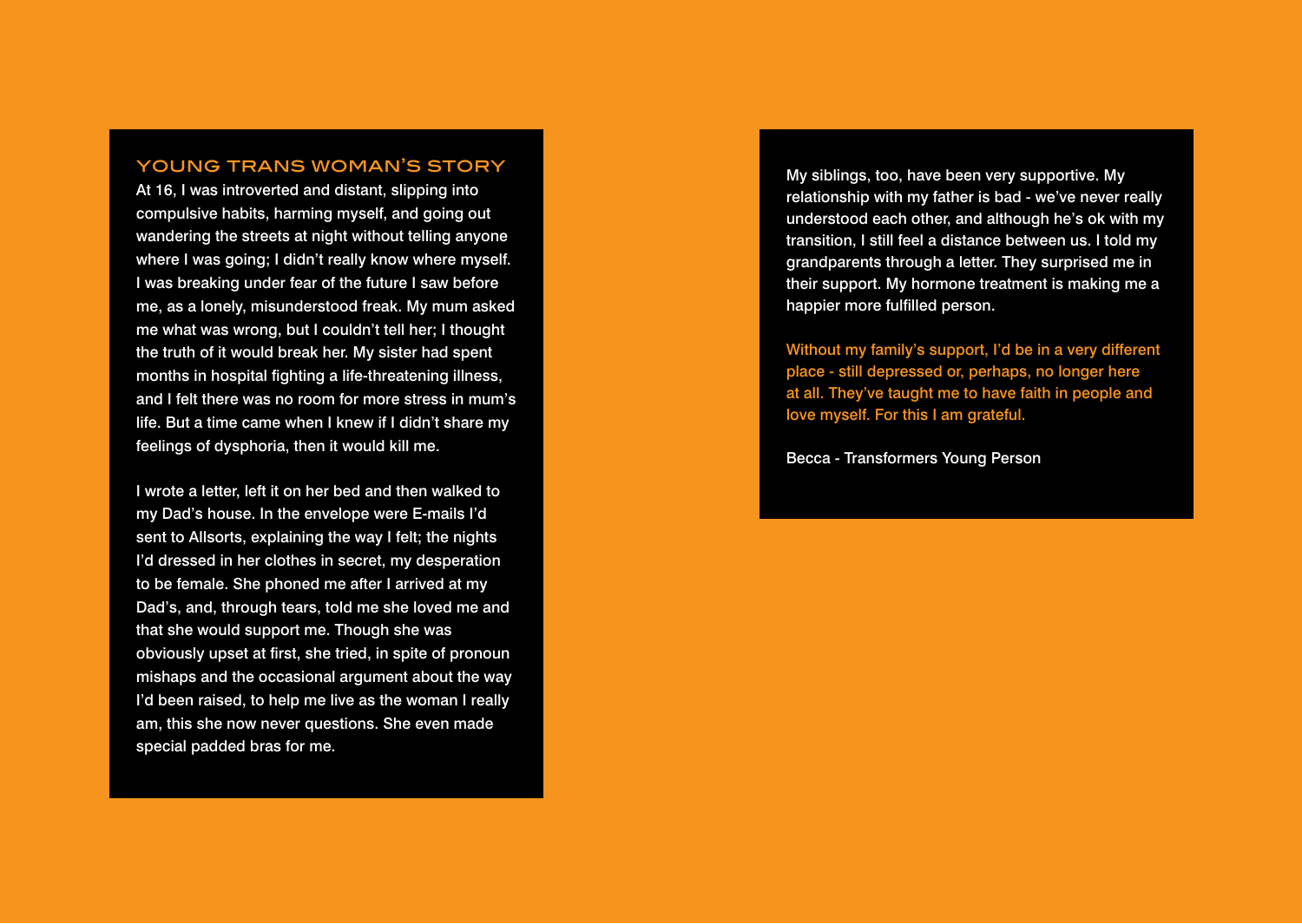## young trans woman's story

At 16, I was introverted and distant, slipping into compulsive habits, harming myself, and going out wandering the streets at night without telling anyone where I was going; I didn't really know where myself. I was breaking under fear of the future I saw before me, as a lonely, misunderstood freak. My mum asked me what was wrong, but I couldn't tell her; I thought the truth of it would break her. My sister had spent months in hospital fighting a life-threatening illness, and I felt there was no room for more stress in mum's life. But a time came when I knew if I didn't share my feelings of dysphoria, then it would kill me.

I wrote a letter, left it on her bed and then walked to my Dad's house. In the envelope were E-mails I'd sent to Allsorts, explaining the way I felt; the nights I'd dressed in her clothes in secret, my desperation to be female. She phoned me after I arrived at my Dad's, and, through tears, told me she loved me and that she would support me. Though she was obviously upset at first, she tried, in spite of pronoun mishaps and the occasional argument about the way I'd been raised, to help me live as the woman I really am, this she now never questions. She even made special padded bras for me.

My siblings, too, have been very supportive. My relationship with my father is bad - we've never really understood each other, and although he's ok with my transition, I still feel a distance between us. I told my grandparents through a letter. They surprised me in their support. My hormone treatment is making me a happier more fulfilled person.

Without my family's support, I'd be in a very different place - still depressed or, perhaps, no longer here at all. They've taught me to have faith in people and love myself. For this I am grateful.

Becca - Transformers Young Person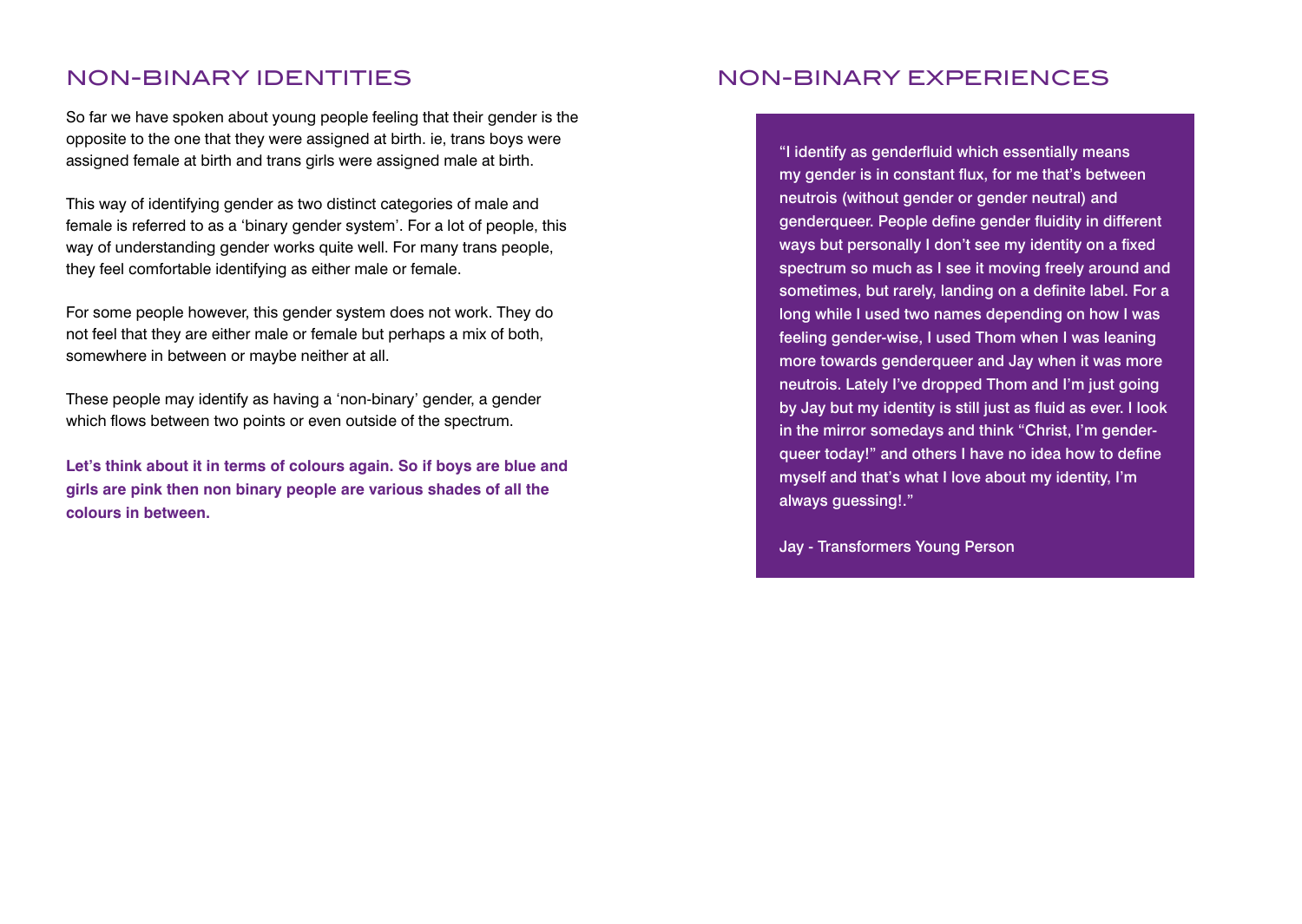# NON-BINARY IDENTITIES

So far we have spoken about young people feeling that their gender is the opposite to the one that they were assigned at birth. ie, trans boys were assigned female at birth and trans girls were assigned male at birth.

This way of identifying gender as two distinct categories of male and female is referred to as a 'binary gender system'. For a lot of people, this way of understanding gender works quite well. For many trans people, they feel comfortable identifying as either male or female.

For some people however, this gender system does not work. They do not feel that they are either male or female but perhaps a mix of both, somewhere in between or maybe neither at all.

These people may identify as having a 'non-binary' gender, a gender which flows between two points or even outside of the spectrum.

**Let's think about it in terms of colours again. So if boys are blue and girls are pink then non binary people are various shades of all the colours in between.**

# NON-BINARY EXPERIENCES

"I identify as genderfluid which essentially means my gender is in constant flux, for me that's between neutrois (without gender or gender neutral) and genderqueer. People define gender fluidity in different ways but personally I don't see my identity on a fixed spectrum so much as I see it moving freely around and sometimes, but rarely, landing on a definite label. For a long while I used two names depending on how I was feeling gender-wise, I used Thom when I was leaning more towards genderqueer and Jay when it was more neutrois. Lately I've dropped Thom and I'm just going by Jay but my identity is still just as fluid as ever. I look in the mirror somedays and think "Christ, I'm genderqueer today!" and others I have no idea how to define myself and that's what I love about my identity, I'm always guessing!."

Jay - Transformers Young Person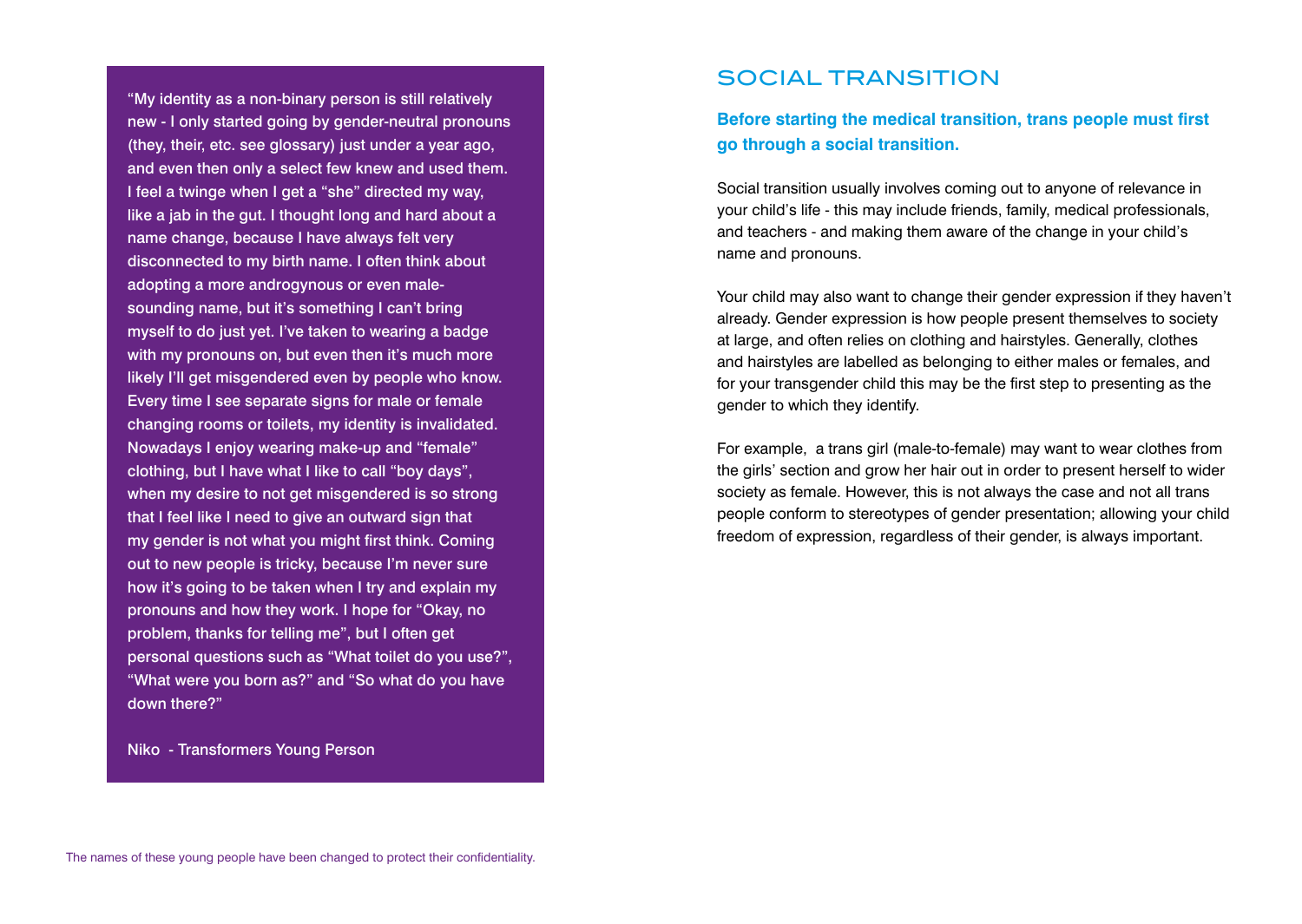"My identity as a non-binary person is still relatively new - I only started going by gender-neutral pronouns (they, their, etc. see glossary) just under a year ago, and even then only a select few knew and used them. I feel a twinge when I get a "she" directed my way, like a jab in the gut. I thought long and hard about a name change, because I have always felt very disconnected to my birth name. I often think about adopting a more androgynous or even malesounding name, but it's something I can't bring myself to do just yet. I've taken to wearing a badge with my pronouns on, but even then it's much more likely I'll get misgendered even by people who know. Every time I see separate signs for male or female changing rooms or toilets, my identity is invalidated. Nowadays I enjoy wearing make-up and "female" clothing, but I have what I like to call "boy days", when my desire to not get misgendered is so strong that I feel like I need to give an outward sign that my gender is not what you might first think. Coming out to new people is tricky, because I'm never sure how it's going to be taken when I try and explain my pronouns and how they work. I hope for "Okay, no problem, thanks for telling me", but I often get personal questions such as "What toilet do you use?", "What were you born as?" and "So what do you have down there?"

Niko - Transformers Young Person

# SOCIAL TRANSITION

**Before starting the medical transition, trans people must first go through a social transition.** 

Social transition usually involves coming out to anyone of relevance in your child's life - this may include friends, family, medical professionals, and teachers - and making them aware of the change in your child's name and pronouns.

Your child may also want to change their gender expression if they haven't already. Gender expression is how people present themselves to society at large, and often relies on clothing and hairstyles. Generally, clothes and hairstyles are labelled as belonging to either males or females, and for your transgender child this may be the first step to presenting as the gender to which they identify.

For example, a trans girl (male-to-female) may want to wear clothes from the girls' section and grow her hair out in order to present herself to wider society as female. However, this is not always the case and not all trans people conform to stereotypes of gender presentation; allowing your child freedom of expression, regardless of their gender, is always important.

The names of these young people have been changed to protect their confidentiality.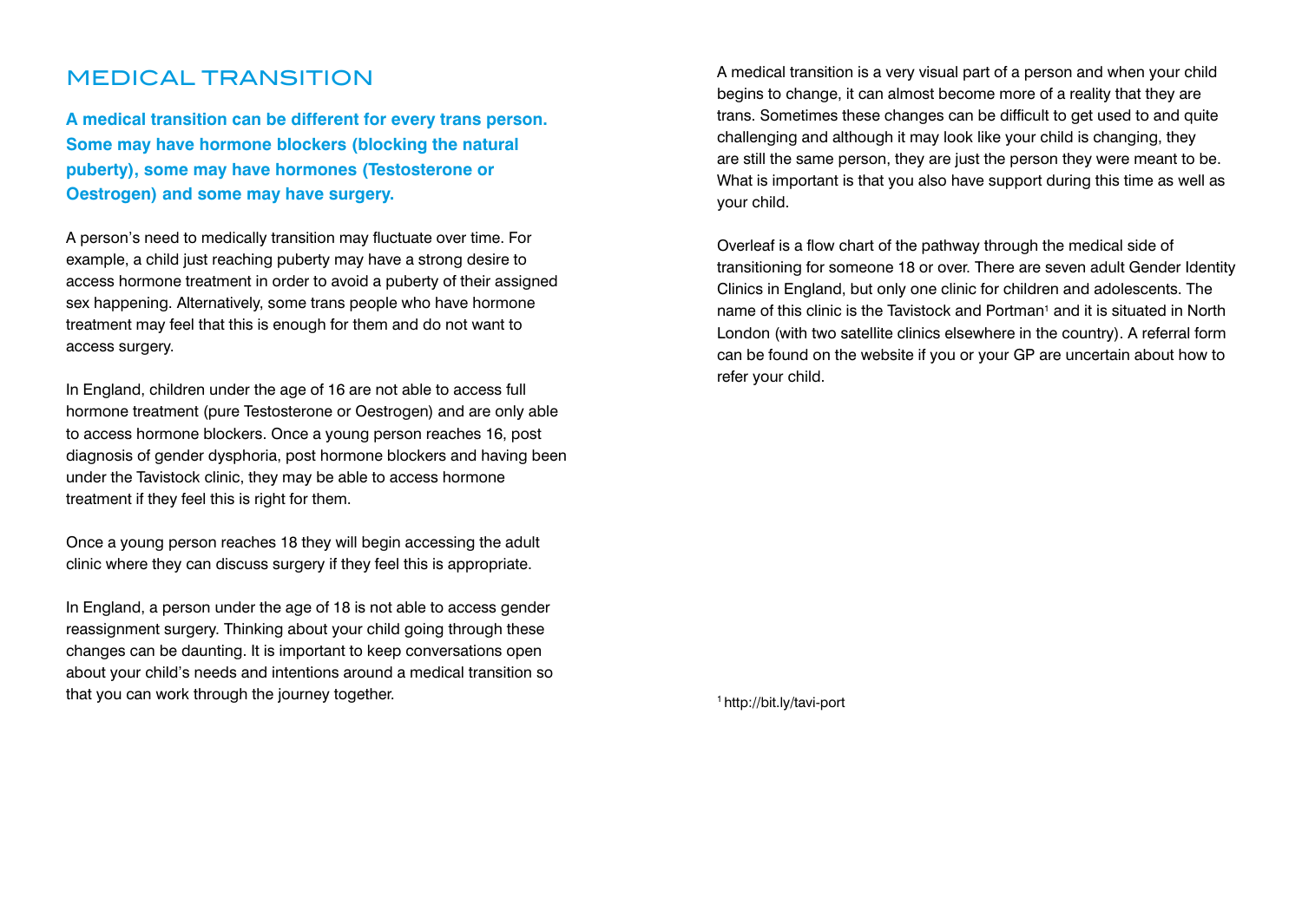# MEDICAL TRANSITION

**A medical transition can be different for every trans person. Some may have hormone blockers (blocking the natural puberty), some may have hormones (Testosterone or Oestrogen) and some may have surgery.**

A person's need to medically transition may fluctuate over time. For example, a child just reaching puberty may have a strong desire to access hormone treatment in order to avoid a puberty of their assigned sex happening. Alternatively, some trans people who have hormone treatment may feel that this is enough for them and do not want to access surgery.

In England, children under the age of 16 are not able to access full hormone treatment (pure Testosterone or Oestrogen) and are only able to access hormone blockers. Once a young person reaches 16, post diagnosis of gender dysphoria, post hormone blockers and having been under the Tavistock clinic, they may be able to access hormone treatment if they feel this is right for them.

Once a young person reaches 18 they will begin accessing the adult clinic where they can discuss surgery if they feel this is appropriate.

In England, a person under the age of 18 is not able to access gender reassignment surgery. Thinking about your child going through these changes can be daunting. It is important to keep conversations open about your child's needs and intentions around a medical transition so that you can work through the journey together.

A medical transition is a very visual part of a person and when your child begins to change, it can almost become more of a reality that they are trans. Sometimes these changes can be difficult to get used to and quite challenging and although it may look like your child is changing, they are still the same person, they are just the person they were meant to be. What is important is that you also have support during this time as well as your child.

Overleaf is a flow chart of the pathway through the medical side of transitioning for someone 18 or over. There are seven adult Gender Identity Clinics in England, but only one clinic for children and adolescents. The name of this clinic is the Tavistock and Portman<sup>1</sup> and it is situated in North London (with two satellite clinics elsewhere in the country). A referral form can be found on the website if you or your GP are uncertain about how to refer your child.

<sup>1</sup> http://bit.ly/tavi-port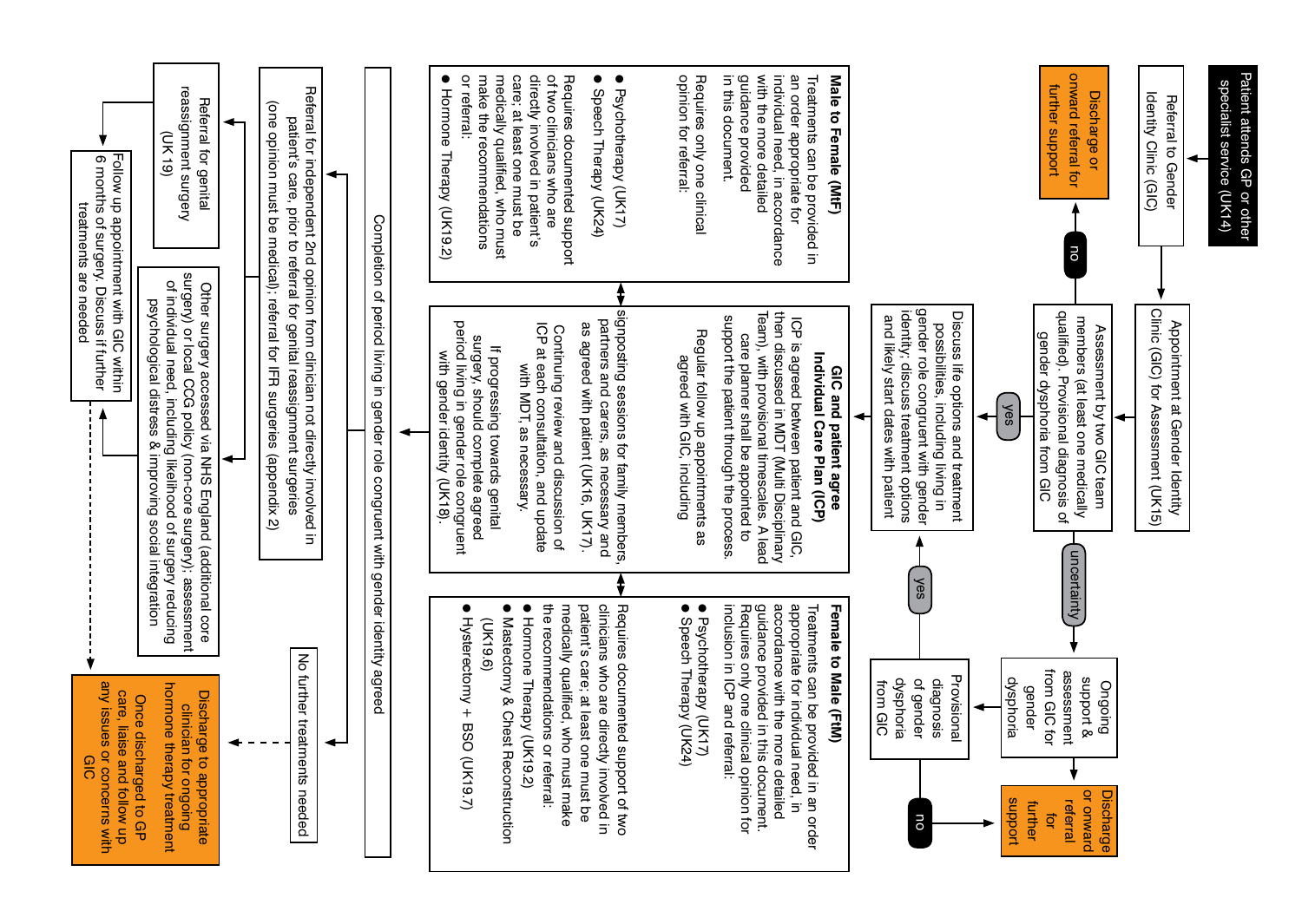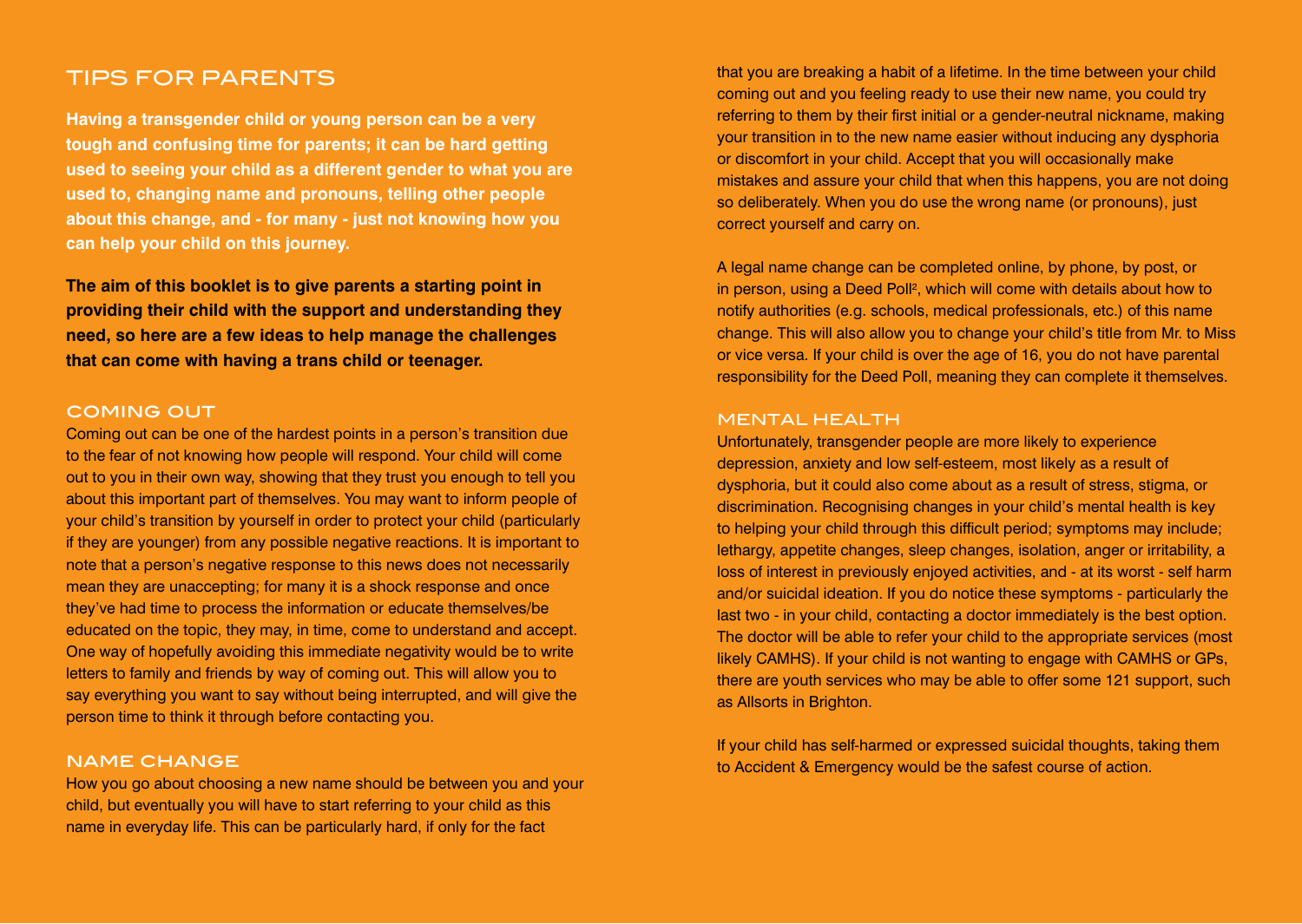## TIPS FOR PARENTS

**Having a transgender child or young person can be a very tough and confusing time for parents; it can be hard getting used to seeing your child as a different gender to what you are used to, changing name and pronouns, telling other people about this change, and - for many - just not knowing how you can help your child on this journey.** 

**The aim of this booklet is to give parents a starting point in providing their child with the support and understanding they need, so here are a few ideas to help manage the challenges that can come with having a trans child or teenager.**

#### coming out

Coming out can be one of the hardest points in a person's transition due to the fear of not knowing how people will respond. Your child will come out to you in their own way, showing that they trust you enough to tell you about this important part of themselves. You may want to inform people of your child's transition by yourself in order to protect your child (particularly if they are younger) from any possible negative reactions. It is important to note that a person's negative response to this news does not necessarily mean they are unaccepting; for many it is a shock response and once they've had time to process the information or educate themselves/be educated on the topic, they may, in time, come to understand and accept. One way of hopefully avoiding this immediate negativity would be to write letters to family and friends by way of coming out. This will allow you to say everything you want to say without being interrupted, and will give the person time to think it through before contacting you.

#### name change

How you go about choosing a new name should be between you and your child, but eventually you will have to start referring to your child as this name in everyday life. This can be particularly hard, if only for the fact

that you are breaking a habit of a lifetime. In the time between your child coming out and you feeling ready to use their new name, you could try referring to them by their first initial or a gender-neutral nickname, making your transition in to the new name easier without inducing any dysphoria or discomfort in your child. Accept that you will occasionally make mistakes and assure your child that when this happens, you are not doing so deliberately. When you do use the wrong name (or pronouns), just correct yourself and carry on.

A legal name change can be completed online, by phone, by post, or in person, using a Deed Poll<sup>2</sup>, which will come with details about how to notify authorities (e.g. schools, medical professionals, etc.) of this name change. This will also allow you to change your child's title from Mr. to Miss or vice versa. If your child is over the age of 16, you do not have parental responsibility for the Deed Poll, meaning they can complete it themselves.

#### MENTAL HEALTH

Unfortunately, transgender people are more likely to experience depression, anxiety and low self-esteem, most likely as a result of dysphoria, but it could also come about as a result of stress, stigma, or discrimination. Recognising changes in your child's mental health is key to helping your child through this difficult period; symptoms may include; lethargy, appetite changes, sleep changes, isolation, anger or irritability, a loss of interest in previously enjoyed activities, and - at its worst - self harm and/or suicidal ideation. If you do notice these symptoms - particularly the last two - in your child, contacting a doctor immediately is the best option. The doctor will be able to refer your child to the appropriate services (most likely CAMHS). If your child is not wanting to engage with CAMHS or GPs, there are youth services who may be able to offer some 121 support, such as Allsorts in Brighton.

If your child has self-harmed or expressed suicidal thoughts, taking them to Accident & Emergency would be the safest course of action.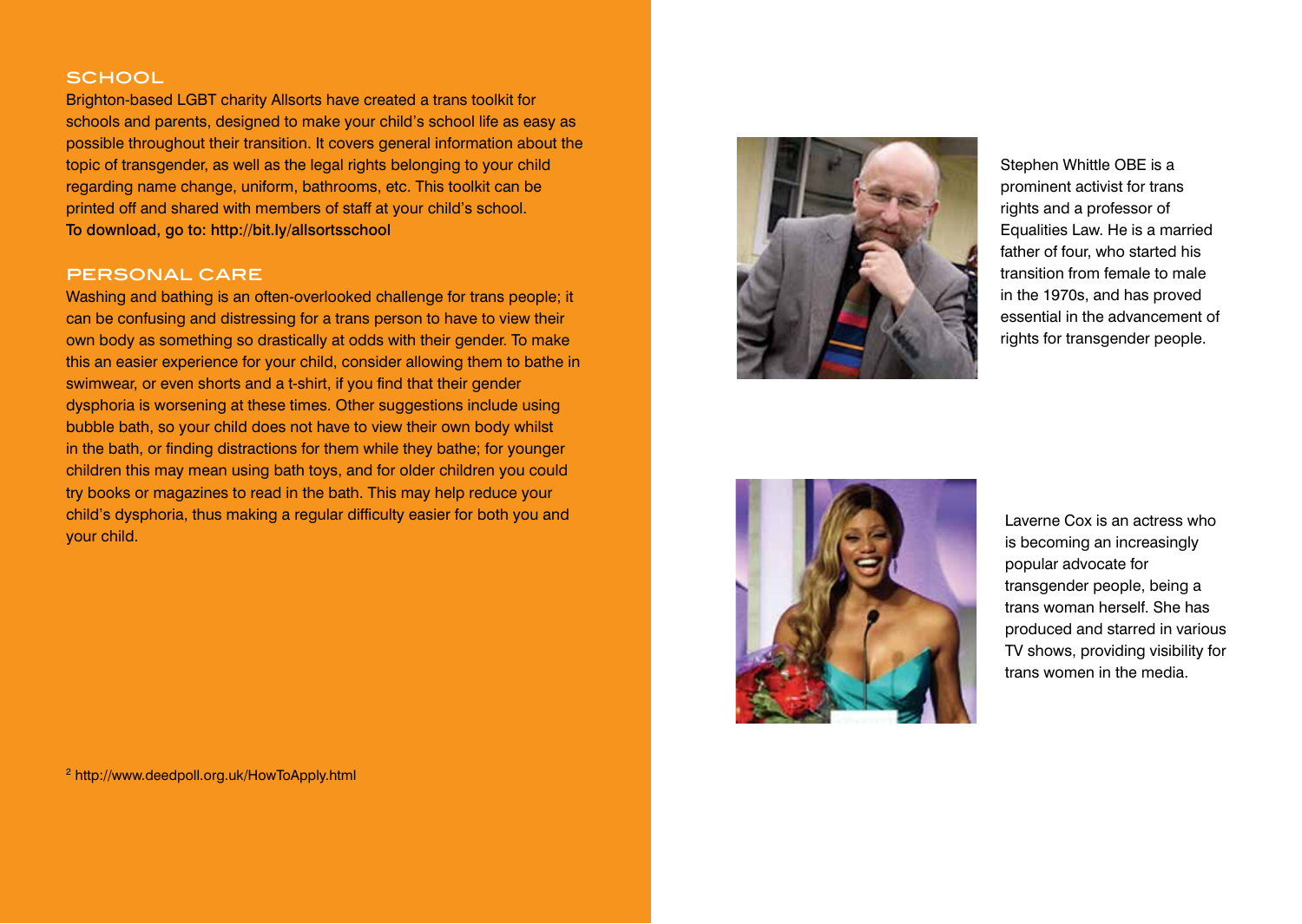## **SCHOOL**

Brighton-based LGBT charity Allsorts have created a trans toolkit for schools and parents, designed to make your child's school life as easy as possible throughout their transition. It covers general information about the topic of transgender, as well as the legal rights belonging to your child regarding name change, uniform, bathrooms, etc. This toolkit can be printed off and shared with members of staff at your child's school. To download, go to: http://bit.ly/allsortsschool

## personal care

Washing and bathing is an often-overlooked challenge for trans people; it can be confusing and distressing for a trans person to have to view their own body as something so drastically at odds with their gender. To make this an easier experience for your child, consider allowing them to bathe in swimwear, or even shorts and a t-shirt, if you find that their gender dysphoria is worsening at these times. Other suggestions include using bubble bath, so your child does not have to view their own body whilst in the bath, or finding distractions for them while they bathe; for younger children this may mean using bath toys, and for older children you could try books or magazines to read in the bath. This may help reduce your child's dysphoria, thus making a regular difficulty easier for both you and your child.

<sup>2</sup> http://www.deedpoll.org.uk/HowToApply.html



Stephen Whittle OBE is a prominent activist for trans rights and a professor of Equalities Law. He is a married father of four, who started his transition from female to male in the 1970s, and has proved essential in the advancement of rights for transgender people.



Laverne Cox is an actress who is becoming an increasingly popular advocate for transgender people, being a trans woman herself. She has produced and starred in various TV shows, providing visibility for trans women in the media.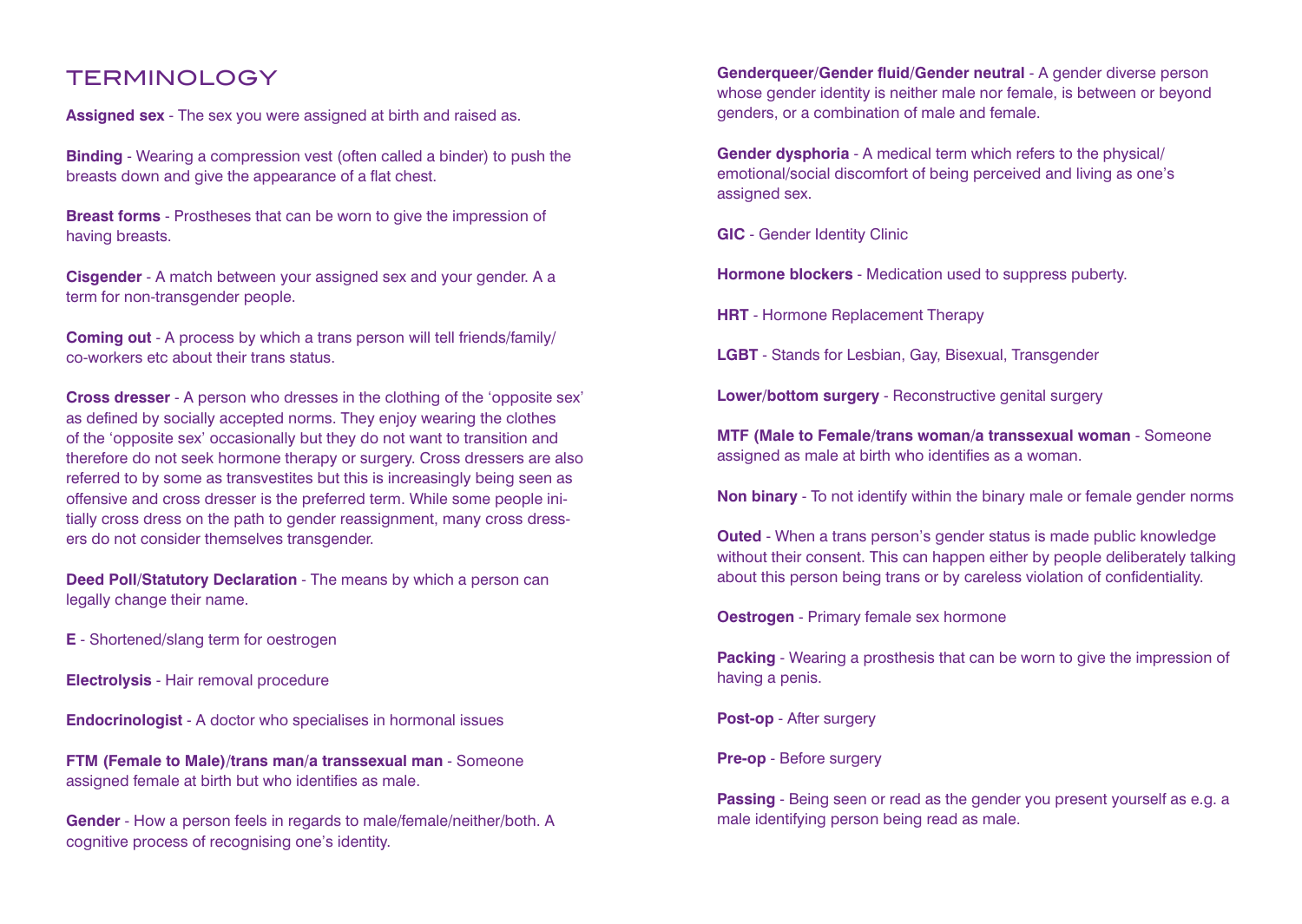# TERMINOLOGY

**Assigned sex** - The sex you were assigned at birth and raised as.

**Binding** - Wearing a compression vest (often called a binder) to push the breasts down and give the appearance of a flat chest.

**Breast forms** - Prostheses that can be worn to give the impression of having breasts.

**Cisgender** - A match between your assigned sex and your gender. A a term for non-transgender people.

**Coming out** - A process by which a trans person will tell friends/family/ co-workers etc about their trans status.

**Cross dresser** - A person who dresses in the clothing of the 'opposite sex' as defined by socially accepted norms. They enjoy wearing the clothes of the 'opposite sex' occasionally but they do not want to transition and therefore do not seek hormone therapy or surgery. Cross dressers are also referred to by some as transvestites but this is increasingly being seen as offensive and cross dresser is the preferred term. While some people initially cross dress on the path to gender reassignment, many cross dressers do not consider themselves transgender.

**Deed Poll/Statutory Declaration** - The means by which a person can legally change their name.

**E** - Shortened/slang term for oestrogen

**Electrolysis** - Hair removal procedure

**Endocrinologist** - A doctor who specialises in hormonal issues

**FTM (Female to Male)/trans man/a transsexual man** - Someone assigned female at birth but who identifies as male.

**Gender** - How a person feels in regards to male/female/neither/both. A cognitive process of recognising one's identity.

**Genderqueer/Gender fluid/Gender neutral - A gender diverse person** whose gender identity is neither male nor female, is between or beyond genders, or a combination of male and female.

**Gender dysphoria** - A medical term which refers to the physical/ emotional/social discomfort of being perceived and living as one's assigned sex.

**GIC** - Gender Identity Clinic

**Hormone blockers** - Medication used to suppress puberty.

**HRT** - Hormone Replacement Therapy

**LGBT** - Stands for Lesbian, Gay, Bisexual, Transgender

**Lower/bottom surgery** - Reconstructive genital surgery

**MTF (Male to Female/trans woman/a transsexual woman** - Someone assigned as male at birth who identifies as a woman.

**Non binary** - To not identify within the binary male or female gender norms

**Outed** - When a trans person's gender status is made public knowledge without their consent. This can happen either by people deliberately talking about this person being trans or by careless violation of confidentiality.

**Oestrogen** - Primary female sex hormone

**Packing** - Wearing a prosthesis that can be worn to give the impression of having a penis.

**Post-op** - After surgery

**Pre-op** - Before surgery

**Passing** - Being seen or read as the gender you present yourself as e.g. a male identifying person being read as male.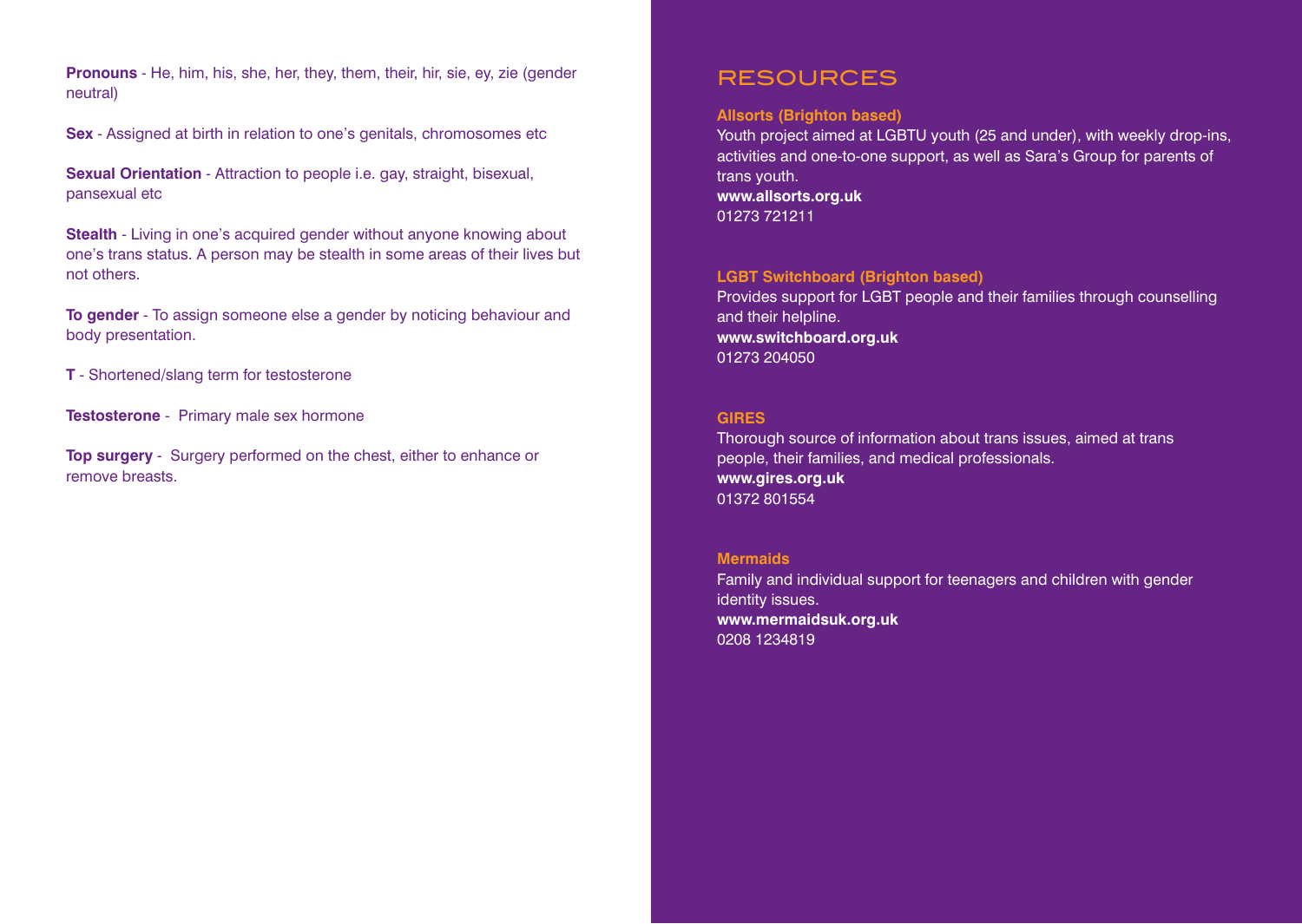**Pronouns** - He, him, his, she, her, they, them, their, hir, sie, ey, zie (gender neutral)

**Sex** - Assigned at birth in relation to one's genitals, chromosomes etc

**Sexual Orientation** - Attraction to people i.e. gay, straight, bisexual, pansexual etc

**Stealth** - Living in one's acquired gender without anyone knowing about one's trans status. A person may be stealth in some areas of their lives but not others.

**To gender** - To assign someone else a gender by noticing behaviour and body presentation.

**T** - Shortened/slang term for testosterone

**Testosterone** - Primary male sex hormone

**Top surgery** - Surgery performed on the chest, either to enhance or remove breasts.

# RESOURCES

## **Allsorts (Brighton based)**

Youth project aimed at LGBTU youth (25 and under), with weekly drop-ins, activities and one-to-one support, as well as Sara's Group for parents of trans youth. **www.allsorts.org.uk** 01273 721211

## **LGBT Switchboard (Brighton based)**

Provides support for LGBT people and their families through counselling and their helpline. **www.switchboard.org.uk** 01273 204050

#### **GIRES**

Thorough source of information about trans issues, aimed at trans people, their families, and medical professionals. **www.gires.org.uk** 01372 801554

#### **Mermaids**

Family and individual support for teenagers and children with gender identity issues. **www.mermaidsuk.org.uk** 0208 1234819